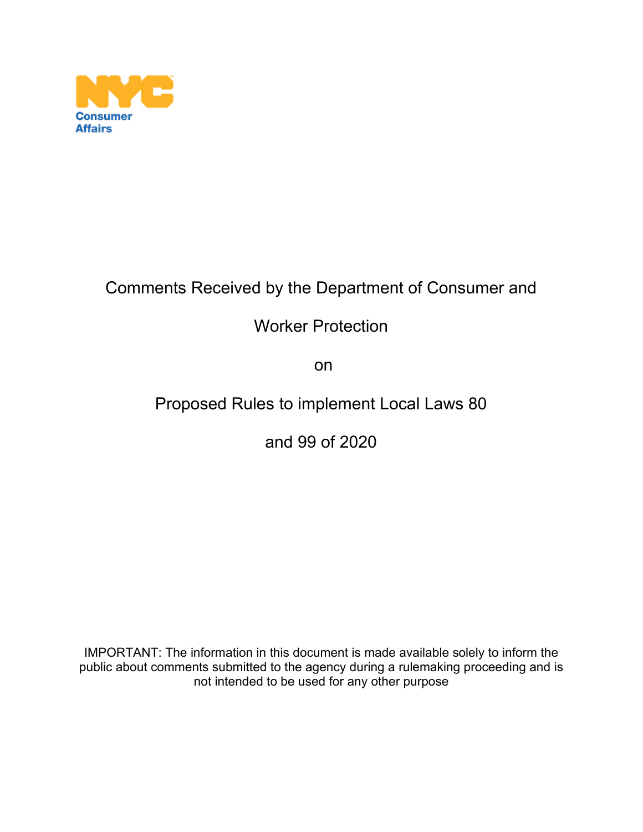

# Comments Received by the Department of Consumer and

## Worker Protection

on

## Proposed Rules to implement Local Laws 80

and 99 of 2020

IMPORTANT: The information in this document is made available solely to inform the public about comments submitted to the agency during a rulemaking proceeding and is not intended to be used for any other purpose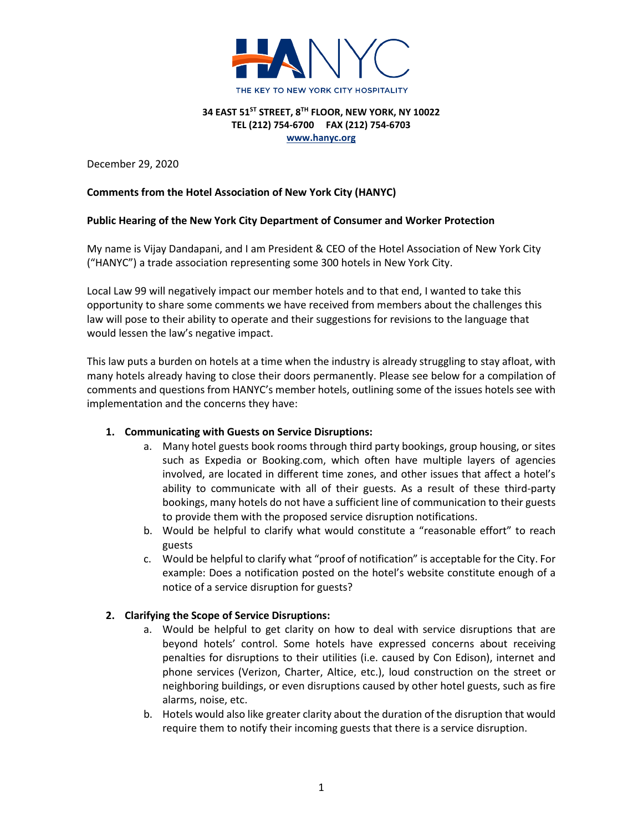

December 29, 2020

## **Comments from the Hotel Association of New York City (HANYC)**

## **Public Hearing of the New York City Department of Consumer and Worker Protection**

My name is Vijay Dandapani, and I am President & CEO of the Hotel Association of New York City ("HANYC") a trade association representing some 300 hotels in New York City.

Local Law 99 will negatively impact our member hotels and to that end, I wanted to take this opportunity to share some comments we have received from members about the challenges this law will pose to their ability to operate and their suggestions for revisions to the language that would lessen the law's negative impact.

This law puts a burden on hotels at a time when the industry is already struggling to stay afloat, with many hotels already having to close their doors permanently. Please see below for a compilation of comments and questions from HANYC's member hotels, outlining some of the issues hotels see with implementation and the concerns they have:

## **1. Communicating with Guests on Service Disruptions:**

- a. Many hotel guests book rooms through third party bookings, group housing, or sites such as Expedia or Booking.com, which often have multiple layers of agencies involved, are located in different time zones, and other issues that affect a hotel's ability to communicate with all of their guests. As a result of these third-party bookings, many hotels do not have a sufficient line of communication to their guests to provide them with the proposed service disruption notifications.
- b. Would be helpful to clarify what would constitute a "reasonable effort" to reach guests
- c. Would be helpful to clarify what "proof of notification" is acceptable for the City. For example: Does a notification posted on the hotel's website constitute enough of a notice of a service disruption for guests?

## **2. Clarifying the Scope of Service Disruptions:**

- a. Would be helpful to get clarity on how to deal with service disruptions that are beyond hotels' control. Some hotels have expressed concerns about receiving penalties for disruptions to their utilities (i.e. caused by Con Edison), internet and phone services (Verizon, Charter, Altice, etc.), loud construction on the street or neighboring buildings, or even disruptions caused by other hotel guests, such as fire alarms, noise, etc.
- b. Hotels would also like greater clarity about the duration of the disruption that would require them to notify their incoming guests that there is a service disruption.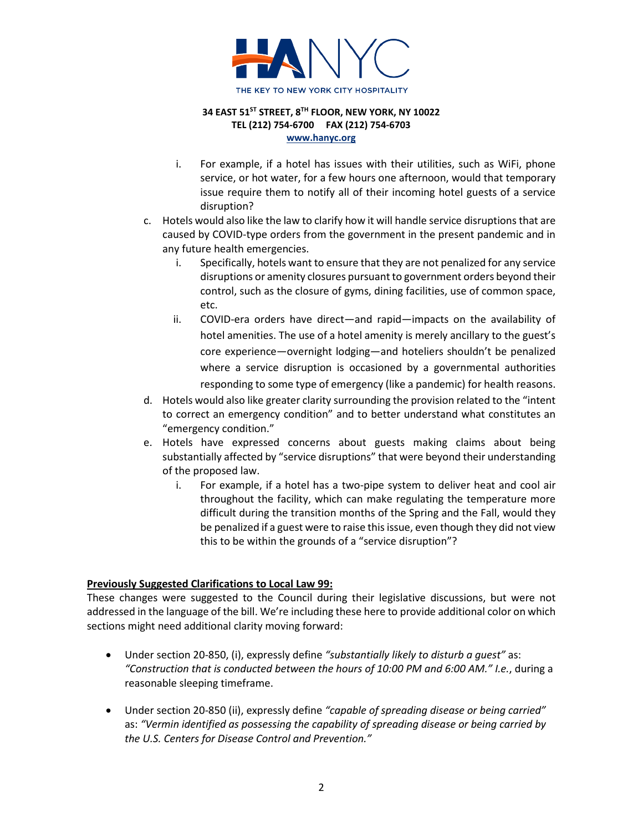

- i. For example, if a hotel has issues with their utilities, such as WiFi, phone service, or hot water, for a few hours one afternoon, would that temporary issue require them to notify all of their incoming hotel guests of a service disruption?
- c. Hotels would also like the law to clarify how it will handle service disruptions that are caused by COVID-type orders from the government in the present pandemic and in any future health emergencies.
	- i. Specifically, hotels want to ensure that they are not penalized for any service disruptions or amenity closures pursuant to government orders beyond their control, such as the closure of gyms, dining facilities, use of common space, etc.
	- ii. COVID-era orders have direct—and rapid—impacts on the availability of hotel amenities. The use of a hotel amenity is merely ancillary to the guest's core experience—overnight lodging—and hoteliers shouldn't be penalized where a service disruption is occasioned by a governmental authorities responding to some type of emergency (like a pandemic) for health reasons.
- d. Hotels would also like greater clarity surrounding the provision related to the "intent to correct an emergency condition" and to better understand what constitutes an "emergency condition."
- e. Hotels have expressed concerns about guests making claims about being substantially affected by "service disruptions" that were beyond their understanding of the proposed law.
	- i. For example, if a hotel has a two-pipe system to deliver heat and cool air throughout the facility, which can make regulating the temperature more difficult during the transition months of the Spring and the Fall, would they be penalized if a guest were to raise this issue, even though they did not view this to be within the grounds of a "service disruption"?

## **Previously Suggested Clarifications to Local Law 99:**

These changes were suggested to the Council during their legislative discussions, but were not addressed in the language of the bill. We're including these here to provide additional color on which sections might need additional clarity moving forward:

- Under section 20-850, (i), expressly define *"substantially likely to disturb a guest"* as: *"Construction that is conducted between the hours of 10:00 PM and 6:00 AM." I.e.*, during a reasonable sleeping timeframe.
- Under section 20-850 (ii), expressly define *"capable of spreading disease or being carried"*  as: *"Vermin identified as possessing the capability of spreading disease or being carried by the U.S. Centers for Disease Control and Prevention."*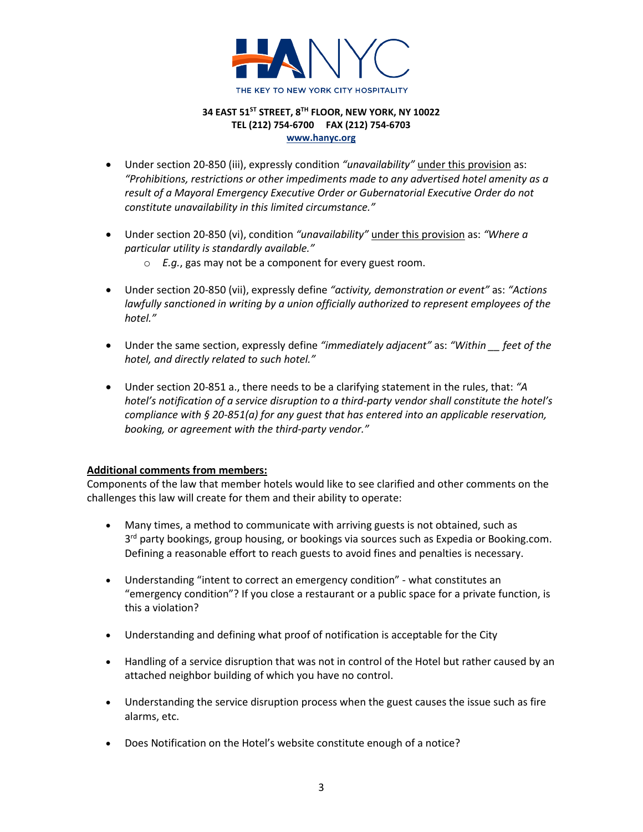

- Under section 20-850 (iii), expressly condition *"unavailability"* under this provision as: *"Prohibitions, restrictions or other impediments made to any advertised hotel amenity as a result of a Mayoral Emergency Executive Order or Gubernatorial Executive Order do not constitute unavailability in this limited circumstance."*
- Under section 20-850 (vi), condition *"unavailability"* under this provision as: *"Where a particular utility is standardly available."*
	- o *E.g.*, gas may not be a component for every guest room.
- Under section 20-850 (vii), expressly define *"activity, demonstration or event"* as: *"Actions lawfully sanctioned in writing by a union officially authorized to represent employees of the hotel."*
- Under the same section, expressly define *"immediately adjacent"* as: *"Within \_\_ feet of the hotel, and directly related to such hotel."*
- Under section 20-851 a., there needs to be a clarifying statement in the rules, that: *"A hotel's notification of a service disruption to a third-party vendor shall constitute the hotel's compliance with § 20-851(a) for any guest that has entered into an applicable reservation, booking, or agreement with the third-party vendor."*

## **Additional comments from members:**

Components of the law that member hotels would like to see clarified and other comments on the challenges this law will create for them and their ability to operate:

- Many times, a method to communicate with arriving guests is not obtained, such as 3<sup>rd</sup> party bookings, group housing, or bookings via sources such as Expedia or Booking.com. Defining a reasonable effort to reach guests to avoid fines and penalties is necessary.
- Understanding "intent to correct an emergency condition" what constitutes an "emergency condition"? If you close a restaurant or a public space for a private function, is this a violation?
- Understanding and defining what proof of notification is acceptable for the City
- Handling of a service disruption that was not in control of the Hotel but rather caused by an attached neighbor building of which you have no control.
- Understanding the service disruption process when the guest causes the issue such as fire alarms, etc.
- Does Notification on the Hotel's website constitute enough of a notice?